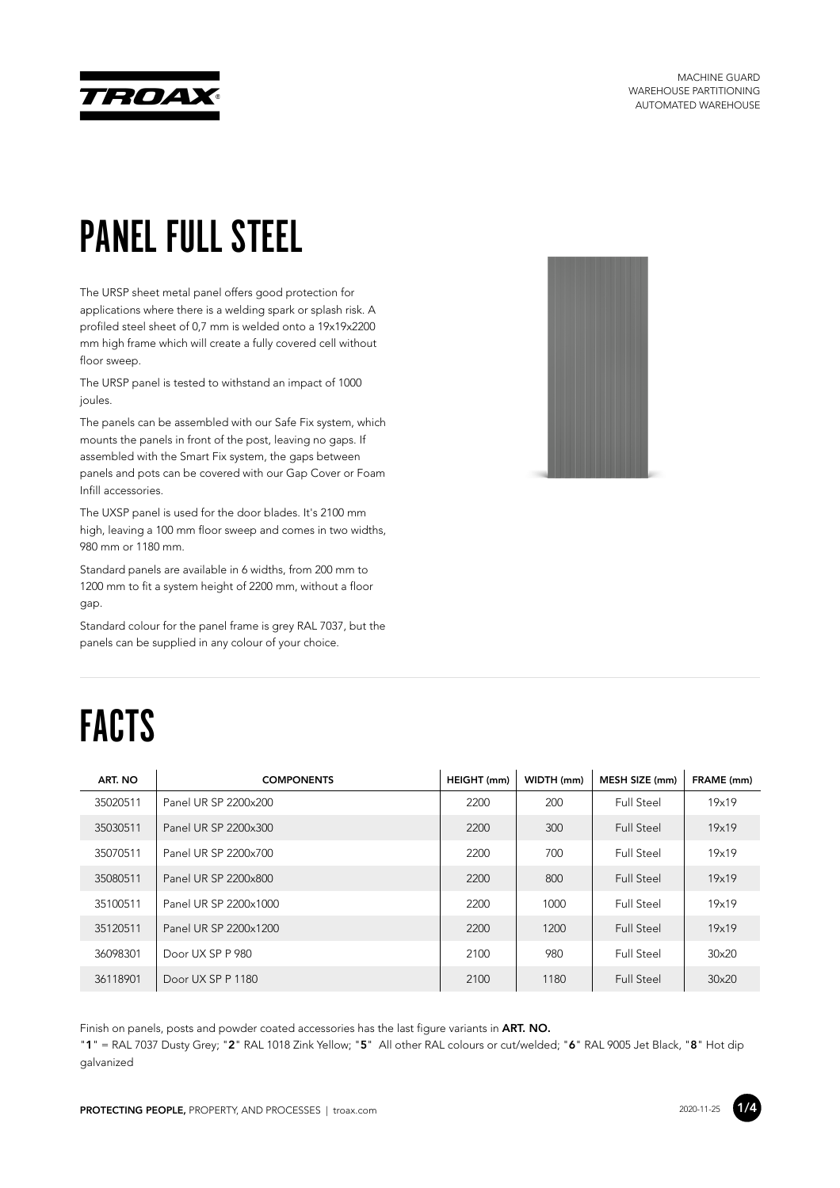

## PANEL FULL STEEL

The URSP sheet metal panel offers good protection for applications where there is a welding spark or splash risk. A profiled steel sheet of 0,7 mm is welded onto a 19x19x2200 mm high frame which will create a fully covered cell without floor sweep.

The URSP panel is tested to withstand an impact of 1000 joules.

The panels can be assembled with our Safe Fix system, which mounts the panels in front of the post, leaving no gaps. If assembled with the Smart Fix system, the gaps between panels and pots can be covered with our Gap Cover or Foam Infill accessories.

The UXSP panel is used for the door blades. It's 2100 mm high, leaving a 100 mm floor sweep and comes in two widths, 980 mm or 1180 mm.

Standard panels are available in 6 widths, from 200 mm to 1200 mm to fit a system height of 2200 mm, without a floor gap.

Standard colour for the panel frame is grey RAL 7037, but the panels can be supplied in any colour of your choice.

#### FACTS

| ART. NO  | <b>COMPONENTS</b>     | HEIGHT (mm) | WIDTH (mm) | MESH SIZE (mm)    | FRAME (mm)   |
|----------|-----------------------|-------------|------------|-------------------|--------------|
| 35020511 | Panel UR SP 2200x200  | 2200        | 200        | <b>Full Steel</b> | 19x19        |
| 35030511 | Panel UR SP 2200x300  | 2200        | 300        | Full Steel        | 19x19        |
| 35070511 | Panel UR SP 2200x700  | 2200        | 700        | <b>Full Steel</b> | 19x19        |
| 35080511 | Panel UR SP 2200x800  | 2200        | 800        | Full Steel        | 19x19        |
| 35100511 | Panel UR SP 2200x1000 | 2200        | 1000       | <b>Full Steel</b> | 19x19        |
| 35120511 | Panel UR SP 2200x1200 | 2200        | 1200       | Full Steel        | 19x19        |
| 36098301 | Door UX SP P 980      | 2100        | 980        | <b>Full Steel</b> | $30\times20$ |
| 36118901 | Door UX SP P 1180     | 2100        | 1180       | Full Steel        | 30×20        |

Finish on panels, posts and powder coated accessories has the last figure variants in **ART. NO.**

"**1**" = RAL 7037 Dusty Grey; "**2**" RAL 1018 Zink Yellow; "**5**" All other RAL colours or cut/welded; "**6**" RAL 9005 Jet Black, "**8**" Hot dip galvanized

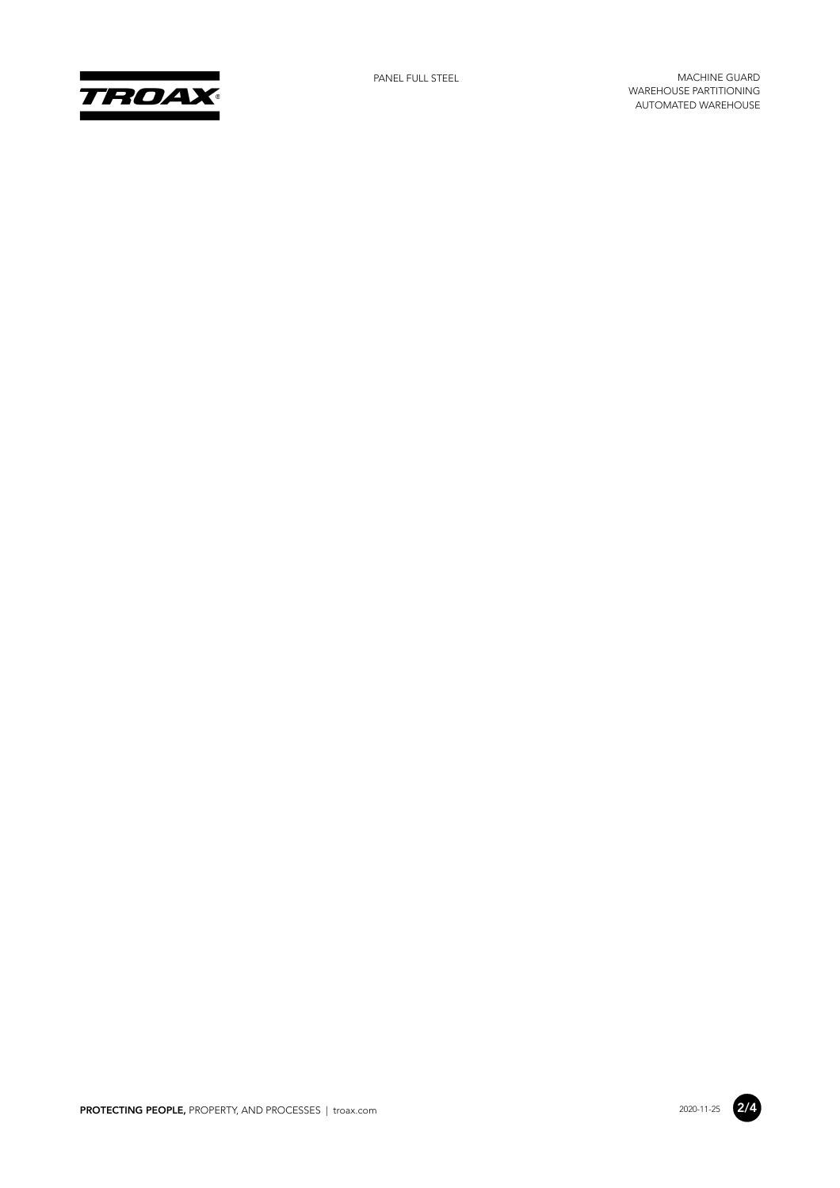

PANEL FULL STEEL **ACCEPT CONTROL** MACHINE GUARD WAREHOUSE PARTITIONING AUTOMATED WAREHOUSE

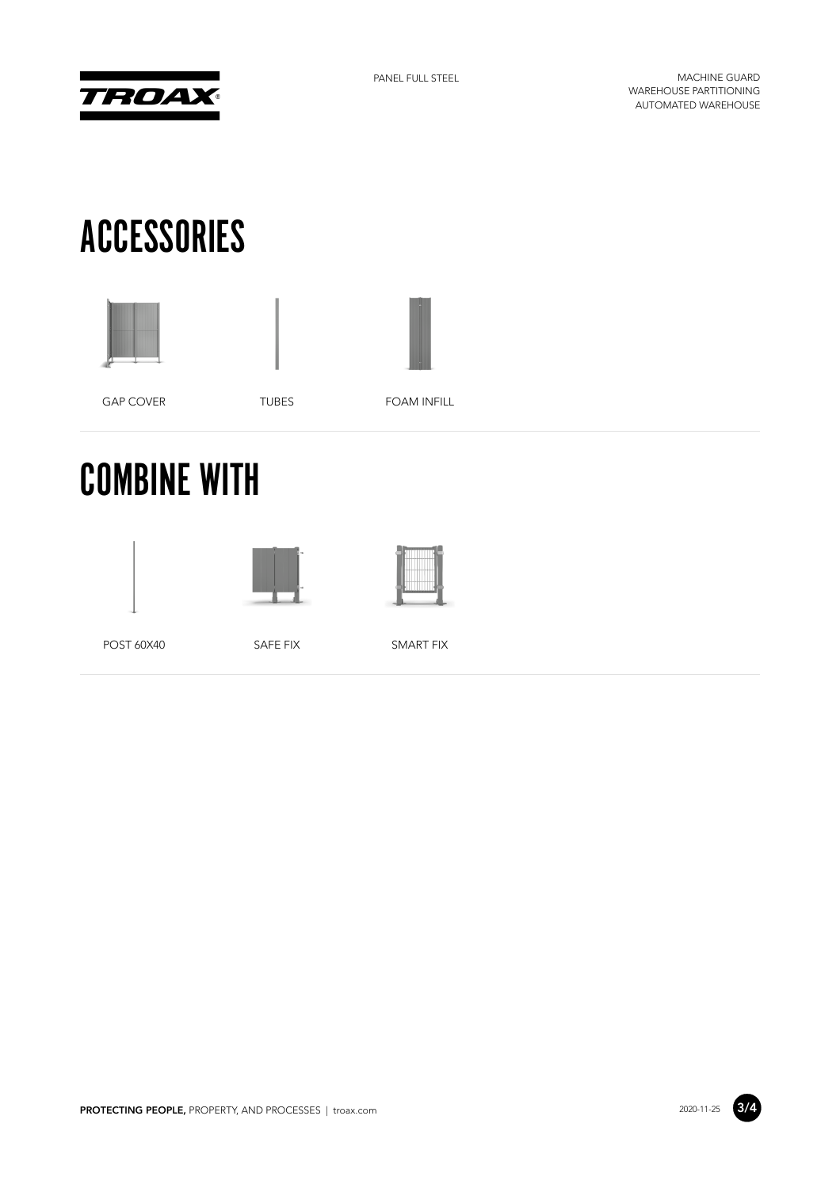

## ACCESSORIES



GAP COVER TUBES FOAM INFILL

# COMBINE WITH





POST 60X40 SAFE FIX SMART FIX